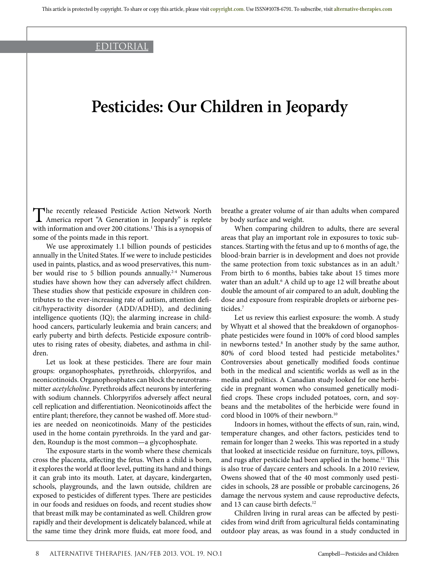### editorial

# **Pesticides: Our Children in Jeopardy**

The recently released Pesticide Action Network North<br>America report "A Generation in Jeopardy" is replete with information and over 200 citations.<sup>1</sup> This is a synopsis of some of the points made in this report.

We use approximately 1.1 billion pounds of pesticides annually in the United States. If we were to include pesticides used in paints, plastics, and as wood preservatives, this number would rise to 5 billion pounds annually.<sup>2-4</sup> Numerous studies have shown how they can adversely affect children. These studies show that pesticide exposure in children contributes to the ever-increasing rate of autism, attention deficit/hyperactivity disorder (ADD/ADHD), and declining intelligence quotients (IQ); the alarming increase in childhood cancers, particularly leukemia and brain cancers; and early puberty and birth defects. Pesticide exposure contributes to rising rates of obesity, diabetes, and asthma in children.

Let us look at these pesticides. There are four main groups: organophosphates, pyrethroids, chlorpyrifos, and neonicotinoids. Organophosphates can block the neurotransmitter *acetylcholine*. Pyrethroids affect neurons by interfering with sodium channels. Chlorpyrifos adversely affect neural cell replication and differentiation. Neonicotinoids affect the entire plant; therefore, they cannot be washed off. More studies are needed on neonicotinoids. Many of the pesticides used in the home contain pyrethroids. In the yard and garden, Roundup is the most common—a glycophosphate.

The exposure starts in the womb where these chemicals cross the placenta, affecting the fetus. When a child is born, it explores the world at floor level, putting its hand and things it can grab into its mouth. Later, at daycare, kindergarten, schools, playgrounds, and the lawn outside, children are exposed to pesticides of different types. There are pesticides in our foods and residues on foods, and recent studies show that breast milk may be contaminated as well. Children grow rapidly and their development is delicately balanced, while at the same time they drink more fluids, eat more food, and breathe a greater volume of air than adults when compared by body surface and weight.

When comparing children to adults, there are several areas that play an important role in exposures to toxic substances. Starting with the fetus and up to 6 months of age, the blood-brain barrier is in development and does not provide the same protection from toxic substances as in an adult.<sup>5</sup> From birth to 6 months, babies take about 15 times more water than an adult.<sup>6</sup> A child up to age 12 will breathe about double the amount of air compared to an adult, doubling the dose and exposure from respirable droplets or airborne pesticides.7

Let us review this earliest exposure: the womb. A study by Whyatt et al showed that the breakdown of organophosphate pesticides were found in 100% of cord blood samples in newborns tested.<sup>8</sup> In another study by the same author, 80% of cord blood tested had pesticide metabolites.<sup>9</sup> Controversies about genetically modified foods continue both in the medical and scientific worlds as well as in the media and politics. A Canadian study looked for one herbicide in pregnant women who consumed genetically modified crops. These crops included potatoes, corn, and soybeans and the metabolites of the herbicide were found in cord blood in 100% of their newborn.<sup>10</sup>

Indoors in homes, without the effects of sun, rain, wind, temperature changes, and other factors, pesticides tend to remain for longer than 2 weeks. This was reported in a study that looked at insecticide residue on furniture, toys, pillows, and rugs after pesticide had been applied in the home.<sup>11</sup> This is also true of daycare centers and schools. In a 2010 review, Owens showed that of the 40 most commonly used pesticides in schools, 28 are possible or probable carcinogens, 26 damage the nervous system and cause reproductive defects, and 13 can cause birth defects.<sup>12</sup>

Children living in rural areas can be affected by pesticides from wind drift from agricultural fields contaminating outdoor play areas, as was found in a study conducted in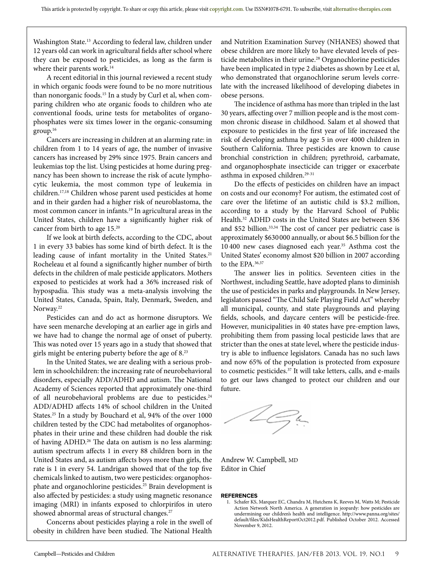Washington State.13 According to federal law, children under 12 years old can work in agricultural fields after school where they can be exposed to pesticides, as long as the farm is where their parents work.<sup>14</sup>

A recent editorial in this journal reviewed a recent study in which organic foods were found to be no more nutritious than nonorganic foods.<sup>15</sup> In a study by Curl et al, when comparing children who ate organic foods to children who ate conventional foods, urine tests for metabolites of organophosphates were six times lower in the organic-consuming  $group.<sup>16</sup>$ 

Cancers are increasing in children at an alarming rate: in children from 1 to 14 years of age, the number of invasive cancers has increased by 29% since 1975. Brain cancers and leukemias top the list. Using pesticides at home during pregnancy has been shown to increase the risk of acute lymphocytic leukemia, the most common type of leukemia in children.17,18 Children whose parent used pesticides at home and in their garden had a higher risk of neuroblastoma, the most common cancer in infants.<sup>19</sup> In agricultural areas in the United States, children have a significantly higher risk of cancer from birth to age 15.20

If we look at birth defects, according to the CDC, about 1 in every 33 babies has some kind of birth defect. It is the leading cause of infant mortality in the United States.<sup>21</sup> Rocheleau et al found a significantly higher number of birth defects in the children of male pesticide applicators. Mothers exposed to pesticides at work had a 36% increased risk of hypospadia. This study was a meta-analysis involving the United States, Canada, Spain, Italy, Denmark, Sweden, and Norway.<sup>22</sup>

Pesticides can and do act as hormone disruptors. We have seen menarche developing at an earlier age in girls and we have had to change the normal age of onset of puberty. This was noted over 15 years ago in a study that showed that girls might be entering puberty before the age of 8.23

In the United States, we are dealing with a serious problem in schoolchildren: the increasing rate of neurobehavioral disorders, especially ADD/ADHD and autism. The National Academy of Sciences reported that approximately one-third of all neurobehavioral problems are due to pesticides.<sup>24</sup> ADD/ADHD affects 14% of school children in the United States.<sup>25</sup> In a study by Bouchard et al, 94% of the over 1000 children tested by the CDC had metabolites of organophosphates in their urine and these children had double the risk of having ADHD.<sup>26</sup> The data on autism is no less alarming: autism spectrum affects 1 in every 88 children born in the United States and, as autism affects boys more than girls, the rate is 1 in every 54. Landrigan showed that of the top five chemicals linked to autism, two were pesticides: organophosphate and organochlorine pesticides.<sup>25</sup> Brain development is also affected by pesticides: a study using magnetic resonance imaging (MRI) in infants exposed to chlorpirifos in utero showed abnormal areas of structural changes.<sup>27</sup>

Concerns about pesticides playing a role in the swell of obesity in children have been studied. The National Health

and Nutrition Examination Survey (NHANES) showed that obese children are more likely to have elevated levels of pesticide metabolites in their urine.<sup>28</sup> Organochlorine pesticides have been implicated in type 2 diabetes as shown by Lee et al, who demonstrated that organochlorine serum levels correlate with the increased likelihood of developing diabetes in obese persons.

The incidence of asthma has more than tripled in the last 30 years, affecting over 7 million people and is the most common chronic disease in childhood. Salam et al showed that exposure to pesticides in the first year of life increased the risk of developing asthma by age 5 in over 4000 children in Southern California. Three pesticides are known to cause bronchial constriction in children; pyrethroid, carbamate, and organophosphate insecticide can trigger or exacerbate asthma in exposed children.<sup>29-31</sup>

Do the effects of pesticides on children have an impact on costs and our economy? For autism, the estimated cost of care over the lifetime of an autistic child is \$3.2 million, according to a study by the Harvard School of Public Health.<sup>32</sup> ADHD costs in the United States are between \$36 and \$52 billion.<sup>33,34</sup> The cost of cancer per pediatric case is approximately \$630 000 annually, or about \$6.5 billion for the 10 400 new cases diagnosed each year.35 Asthma cost the United States' economy almost \$20 billion in 2007 according to the EPA.<sup>36,37</sup>

The answer lies in politics. Seventeen cities in the Northwest, including Seattle, have adopted plans to diminish the use of pesticides in parks and playgrounds. In New Jersey, legislators passed "The Child Safe Playing Field Act" whereby all municipal, county, and state playgrounds and playing fields, schools, and daycare centers will be pesticide-free. However, municipalities in 40 states have pre-emption laws, prohibiting them from passing local pesticide laws that are stricter than the ones at state level, where the pesticide industry is able to influence legislators. Canada has no such laws and now 65% of the population is protected from exposure to cosmetic pesticides.37 It will take letters, calls, and e-mails to get our laws changed to protect our children and our future.

Şц

Andrew W. Campbell, MD Editor in Chief

#### **REFERENCES**

1. Schafer KS, Marquez EC, Chandra M, Hutchens K, Reeves M, Watts M; Pesticide Action Network North America. A generation in jeopardy: how pesticides are undermining our children's health and intelligence. http://www.panna.org/sites/ default/files/KidsHealthReportOct2012.pdf. Published October 2012. Accessed November 9, 2012.